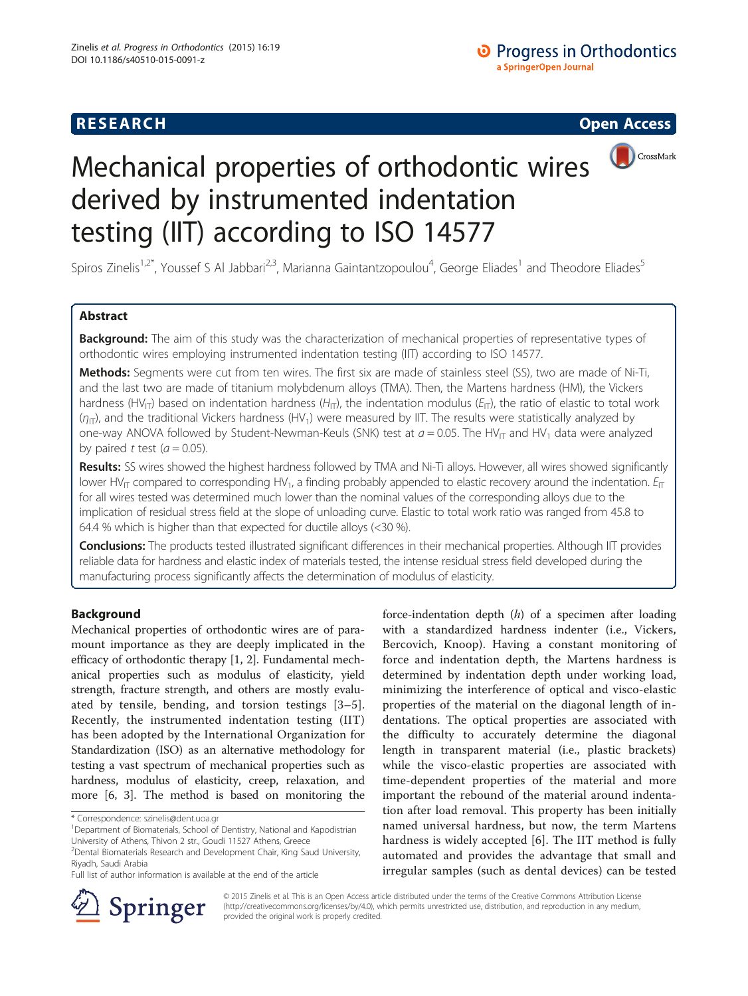# **RESEARCH CHINESE ARCH CHINESE ARCH CHINESE ARCH <b>CHINESE ARCH**



# Mechanical properties of orthodontic wires derived by instrumented indentation testing (IIT) according to ISO 14577

Spiros Zinelis<sup>1,2\*</sup>, Youssef S Al Jabbari<sup>2,3</sup>, Marianna Gaintantzopoulou<sup>4</sup>, George Eliades<sup>1</sup> and Theodore Eliades<sup>5</sup>

# Abstract

Background: The aim of this study was the characterization of mechanical properties of representative types of orthodontic wires employing instrumented indentation testing (IIT) according to ISO 14577.

Methods: Segments were cut from ten wires. The first six are made of stainless steel (SS), two are made of Ni-Ti, and the last two are made of titanium molybdenum alloys (TMA). Then, the Martens hardness (HM), the Vickers hardness (HV<sub>IT</sub>) based on indentation hardness (H<sub>IT</sub>), the indentation modulus ( $E_{IT}$ ), the ratio of elastic to total work  $(\eta_{\text{IT}})$ , and the traditional Vickers hardness (HV<sub>1</sub>) were measured by IIT. The results were statistically analyzed by one-way ANOVA followed by Student-Newman-Keuls (SNK) test at  $a = 0.05$ . The HV<sub>IT</sub> and HV<sub>1</sub> data were analyzed by paired t test  $(a = 0.05)$ .

Results: SS wires showed the highest hardness followed by TMA and Ni-Ti alloys. However, all wires showed significantly lower HV<sub>IT</sub> compared to corresponding HV<sub>1</sub>, a finding probably appended to elastic recovery around the indentation.  $E_{IT}$ for all wires tested was determined much lower than the nominal values of the corresponding alloys due to the implication of residual stress field at the slope of unloading curve. Elastic to total work ratio was ranged from 45.8 to 64.4 % which is higher than that expected for ductile alloys (<30 %).

Conclusions: The products tested illustrated significant differences in their mechanical properties. Although IIT provides reliable data for hardness and elastic index of materials tested, the intense residual stress field developed during the manufacturing process significantly affects the determination of modulus of elasticity.

# Background

Mechanical properties of orthodontic wires are of paramount importance as they are deeply implicated in the efficacy of orthodontic therapy [\[1](#page-5-0), [2](#page-5-0)]. Fundamental mechanical properties such as modulus of elasticity, yield strength, fracture strength, and others are mostly evaluated by tensile, bending, and torsion testings [[3](#page-5-0)–[5](#page-5-0)]. Recently, the instrumented indentation testing (IIT) has been adopted by the International Organization for Standardization (ISO) as an alternative methodology for testing a vast spectrum of mechanical properties such as hardness, modulus of elasticity, creep, relaxation, and more [\[6](#page-5-0), [3](#page-5-0)]. The method is based on monitoring the

force-indentation depth  $(h)$  of a specimen after loading with a standardized hardness indenter (i.e., Vickers, Bercovich, Knoop). Having a constant monitoring of force and indentation depth, the Martens hardness is determined by indentation depth under working load, minimizing the interference of optical and visco-elastic properties of the material on the diagonal length of indentations. The optical properties are associated with the difficulty to accurately determine the diagonal length in transparent material (i.e., plastic brackets) while the visco-elastic properties are associated with time-dependent properties of the material and more important the rebound of the material around indentation after load removal. This property has been initially named universal hardness, but now, the term Martens hardness is widely accepted [\[6](#page-5-0)]. The IIT method is fully automated and provides the advantage that small and irregular samples (such as dental devices) can be tested



© 2015 Zinelis et al. This is an Open Access article distributed under the terms of the Creative Commons Attribution License (<http://creativecommons.org/licenses/by/4.0>), which permits unrestricted use, distribution, and reproduction in any medium, provided the original work is properly credited.

<sup>\*</sup> Correspondence: [szinelis@dent.uoa.gr](mailto:szinelis@dent.uoa.gr) <sup>1</sup>

<sup>&</sup>lt;sup>1</sup>Department of Biomaterials, School of Dentistry, National and Kapodistrian University of Athens, Thivon 2 str., Goudi 11527 Athens, Greece

<sup>&</sup>lt;sup>2</sup> Dental Biomaterials Research and Development Chair, King Saud University, Riyadh, Saudi Arabia

Full list of author information is available at the end of the article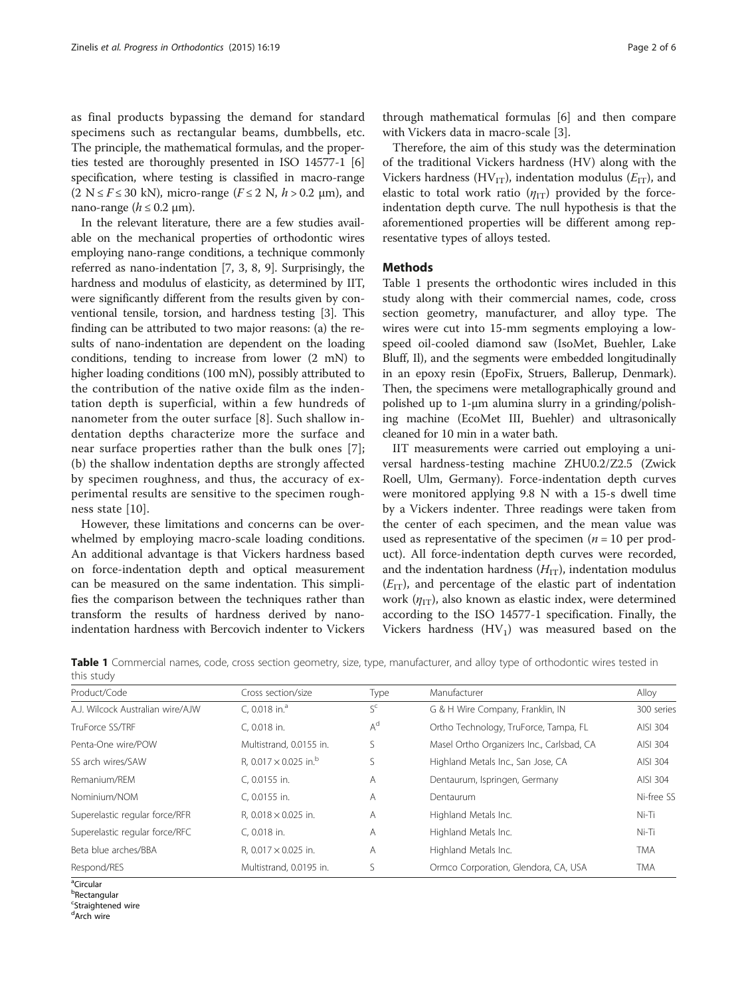as final products bypassing the demand for standard specimens such as rectangular beams, dumbbells, etc. The principle, the mathematical formulas, and the properties tested are thoroughly presented in ISO 14577-1 [[6](#page-5-0)] specification, where testing is classified in macro-range  $(2 N \le F \le 30 kN)$ , micro-range  $(F \le 2 N, h > 0.2 \mu m)$ , and nano-range ( $h \leq 0.2$  µm).

In the relevant literature, there are a few studies available on the mechanical properties of orthodontic wires employing nano-range conditions, a technique commonly referred as nano-indentation [\[7](#page-5-0), [3, 8](#page-5-0), [9\]](#page-5-0). Surprisingly, the hardness and modulus of elasticity, as determined by IIT, were significantly different from the results given by conventional tensile, torsion, and hardness testing [\[3](#page-5-0)]. This finding can be attributed to two major reasons: (a) the results of nano-indentation are dependent on the loading conditions, tending to increase from lower (2 mN) to higher loading conditions (100 mN), possibly attributed to the contribution of the native oxide film as the indentation depth is superficial, within a few hundreds of nanometer from the outer surface [[8\]](#page-5-0). Such shallow indentation depths characterize more the surface and near surface properties rather than the bulk ones [[7](#page-5-0)]; (b) the shallow indentation depths are strongly affected by specimen roughness, and thus, the accuracy of experimental results are sensitive to the specimen roughness state [[10\]](#page-5-0).

However, these limitations and concerns can be overwhelmed by employing macro-scale loading conditions. An additional advantage is that Vickers hardness based on force-indentation depth and optical measurement can be measured on the same indentation. This simplifies the comparison between the techniques rather than transform the results of hardness derived by nanoindentation hardness with Bercovich indenter to Vickers

through mathematical formulas [[6\]](#page-5-0) and then compare with Vickers data in macro-scale [\[3](#page-5-0)].

Therefore, the aim of this study was the determination of the traditional Vickers hardness (HV) along with the Vickers hardness (HV<sub>IT</sub>), indentation modulus ( $E_{IT}$ ), and elastic to total work ratio  $(\eta_{IT})$  provided by the forceindentation depth curve. The null hypothesis is that the aforementioned properties will be different among representative types of alloys tested.

### Methods

Table 1 presents the orthodontic wires included in this study along with their commercial names, code, cross section geometry, manufacturer, and alloy type. The wires were cut into 15-mm segments employing a lowspeed oil-cooled diamond saw (IsoMet, Buehler, Lake Bluff, Il), and the segments were embedded longitudinally in an epoxy resin (EpoFix, Struers, Ballerup, Denmark). Then, the specimens were metallographically ground and polished up to 1-μm alumina slurry in a grinding/polishing machine (EcoMet III, Buehler) and ultrasonically cleaned for 10 min in a water bath.

IIT measurements were carried out employing a universal hardness-testing machine ZHU0.2/Z2.5 (Zwick Roell, Ulm, Germany). Force-indentation depth curves were monitored applying 9.8 N with a 15-s dwell time by a Vickers indenter. Three readings were taken from the center of each specimen, and the mean value was used as representative of the specimen ( $n = 10$  per product). All force-indentation depth curves were recorded, and the indentation hardness  $(H_{IT})$ , indentation modulus  $(E_{IT})$ , and percentage of the elastic part of indentation work ( $\eta_{IT}$ ), also known as elastic index, were determined according to the ISO 14577-1 specification. Finally, the Vickers hardness  $(HV_1)$  was measured based on the

Table 1 Commercial names, code, cross section geometry, size, type, manufacturer, and alloy type of orthodontic wires tested in this study

| Cross section/size                       | Type  | Manufacturer                              | Alloy      |
|------------------------------------------|-------|-------------------------------------------|------------|
| C. $0.018$ in. <sup>a</sup>              | $S^c$ | G & H Wire Company, Franklin, IN          | 300 series |
| C. 0.018 in.                             | $A^d$ | Ortho Technology, TruForce, Tampa, FL     | AISI 304   |
| Multistrand, 0.0155 in.                  | S     | Masel Ortho Organizers Inc., Carlsbad, CA | AISI 304   |
| R. 0.017 $\times$ 0.025 in. <sup>b</sup> | S     | Highland Metals Inc., San Jose, CA        | AISI 304   |
| C. 0.0155 in.                            | Α     | Dentaurum, Ispringen, Germany             | AISI 304   |
| C, 0.0155 in.                            | Α     | Dentaurum                                 | Ni-free SS |
| R, $0.018 \times 0.025$ in.              | Α     | Highland Metals Inc.                      | $Ni-Ti$    |
| C. 0.018 in.                             | A     | Highland Metals Inc.                      | Ni-Ti      |
| R. $0.017 \times 0.025$ in.              | Α     | Highland Metals Inc.                      | TMA        |
| Multistrand, 0.0195 in.                  | S     | Ormco Corporation, Glendora, CA, USA      | TMA        |
|                                          |       |                                           |            |

<sup>a</sup>Circular

<sup>b</sup>Rectangular <sup>c</sup>Straightened wire

<sup>d</sup>Arch wire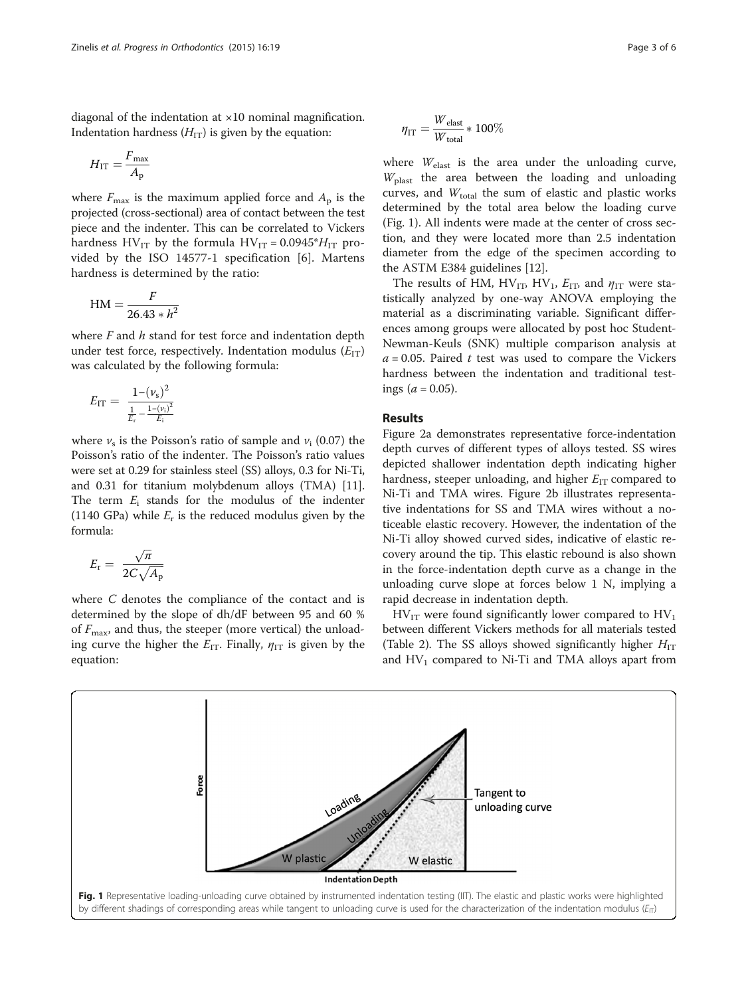<span id="page-2-0"></span>diagonal of the indentation at ×10 nominal magnification. Indentation hardness  $(H_{IT})$  is given by the equation:

$$
H_{\rm IT} = \frac{F_{\rm max}}{A_{\rm p}}
$$

where  $F_{\text{max}}$  is the maximum applied force and  $A_{\text{p}}$  is the projected (cross-sectional) area of contact between the test piece and the indenter. This can be correlated to Vickers hardness  $HV_{IT}$  by the formula  $HV_{IT} = 0.0945^*H_{IT}$  provided by the ISO 14577-1 specification [[6](#page-5-0)]. Martens hardness is determined by the ratio:

$$
HM = \frac{F}{26.43 * h^2}
$$

where  $F$  and  $h$  stand for test force and indentation depth under test force, respectively. Indentation modulus  $(E_{IT})$ was calculated by the following formula:

$$
E_{\text{IT}} = \frac{1 - (\nu_{\text{s}})^2}{\frac{1}{E_{\text{r}}} - \frac{1 - (\nu_{\text{i}})^2}{E_{\text{i}}}}
$$

where  $\nu_s$  is the Poisson's ratio of sample and  $\nu_i$  (0.07) the Poisson's ratio of the indenter. The Poisson's ratio values were set at 0.29 for stainless steel (SS) alloys, 0.3 for Ni-Ti, and 0.31 for titanium molybdenum alloys (TMA) [[11](#page-5-0)]. The term  $E_i$  stands for the modulus of the indenter (1140 GPa) while  $E_r$  is the reduced modulus given by the formula:

$$
E_{\rm r}=\ \frac{\sqrt{\pi}}{2C\sqrt{A_{\rm p}}}
$$

where C denotes the compliance of the contact and is determined by the slope of dh/dF between 95 and 60 % of  $F_{\text{max}}$ , and thus, the steeper (more vertical) the unloading curve the higher the  $E_{IT}$ . Finally,  $\eta_{IT}$  is given by the equation:

$$
\eta_{IT} = \frac{W_{\text{elast}}}{W_{\text{total}}} * 100\%
$$

where  $W_{\text{elast}}$  is the area under the unloading curve,  $W_{\text{blast}}$  the area between the loading and unloading curves, and  $W_{total}$  the sum of elastic and plastic works determined by the total area below the loading curve (Fig. 1). All indents were made at the center of cross section, and they were located more than 2.5 indentation diameter from the edge of the specimen according to the ASTM E384 guidelines [\[12](#page-5-0)].

The results of HM, HV<sub>IT</sub>, HV<sub>1</sub>,  $E_{\text{ID}}$  and  $\eta_{\text{IT}}$  were statistically analyzed by one-way ANOVA employing the material as a discriminating variable. Significant differences among groups were allocated by post hoc Student-Newman-Keuls (SNK) multiple comparison analysis at  $a = 0.05$ . Paired t test was used to compare the Vickers hardness between the indentation and traditional testings ( $a = 0.05$ ).

# Results

Figure [2a](#page-3-0) demonstrates representative force-indentation depth curves of different types of alloys tested. SS wires depicted shallower indentation depth indicating higher hardness, steeper unloading, and higher  $E_{IT}$  compared to Ni-Ti and TMA wires. Figure [2b](#page-3-0) illustrates representative indentations for SS and TMA wires without a noticeable elastic recovery. However, the indentation of the Ni-Ti alloy showed curved sides, indicative of elastic recovery around the tip. This elastic rebound is also shown in the force-indentation depth curve as a change in the unloading curve slope at forces below 1 N, implying a rapid decrease in indentation depth.

 $HV<sub>IT</sub>$  were found significantly lower compared to  $HV<sub>1</sub>$ between different Vickers methods for all materials tested (Table [2\)](#page-3-0). The SS alloys showed significantly higher  $H_{IT}$ and  $HV_1$  compared to Ni-Ti and TMA alloys apart from

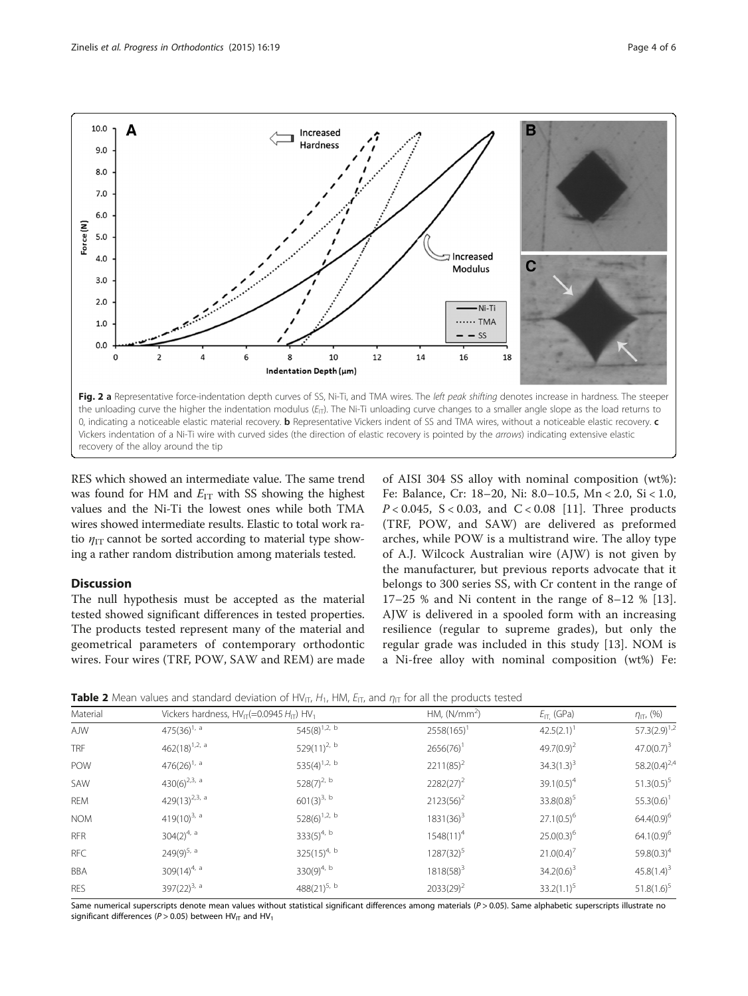<span id="page-3-0"></span>

recovery of the alloy around the tip

RES which showed an intermediate value. The same trend was found for HM and  $E_{IT}$  with SS showing the highest values and the Ni-Ti the lowest ones while both TMA wires showed intermediate results. Elastic to total work ratio  $\eta_{IT}$  cannot be sorted according to material type showing a rather random distribution among materials tested.

## **Discussion**

The null hypothesis must be accepted as the material tested showed significant differences in tested properties. The products tested represent many of the material and geometrical parameters of contemporary orthodontic wires. Four wires (TRF, POW, SAW and REM) are made

of AISI 304 SS alloy with nominal composition (wt%): Fe: Balance, Cr: 18–20, Ni: 8.0–10.5, Mn < 2.0, Si < 1.0,  $P < 0.045$ ,  $S < 0.03$ , and  $C < 0.08$  [\[11](#page-5-0)]. Three products (TRF, POW, and SAW) are delivered as preformed arches, while POW is a multistrand wire. The alloy type of A.J. Wilcock Australian wire (AJW) is not given by the manufacturer, but previous reports advocate that it belongs to 300 series SS, with Cr content in the range of 17–25 % and Ni content in the range of 8–12 % [\[13](#page-5-0)]. AJW is delivered in a spooled form with an increasing resilience (regular to supreme grades), but only the regular grade was included in this study [\[13](#page-5-0)]. NOM is a Ni-free alloy with nominal composition (wt%) Fe:

**Table 2** Mean values and standard deviation of HV<sub>IT</sub>, H<sub>1</sub>, HM, E<sub>IT</sub>, and  $\eta_{\text{IT}}$  for all the products tested

| Material<br>AJW | Vickers hardness, $HV_{\text{IT}}(=0.0945 H_{\text{IT}})$ HV <sub>1</sub> |                   | HM, $(N/mm2)$ | $E_{\text{IT}}$ (GPa)    | $\eta_{\sqcap}$ , (%) |
|-----------------|---------------------------------------------------------------------------|-------------------|---------------|--------------------------|-----------------------|
|                 | 475 $(36)^{1/3}$                                                          | $545(8)^{1,2, b}$ | 2558(165)     | $42.5(2.1)$ <sup>1</sup> | $57.3(2.9)^{1,2}$     |
| <b>TRF</b>      | $462(18)^{1,2, a}$                                                        | 529 $(11)^{2, b}$ | $2656(76)^1$  | $49.7(0.9)^2$            | $47.0(0.7)^3$         |
| POW             | $476(26)^{1, a}$                                                          | $535(4)^{1,2, b}$ | $2211(85)^2$  | $34.3(1.3)^3$            | $58.2(0.4)^{2.4}$     |
| SAW             | 430(6) <sup>2,3, a</sup>                                                  | $528(7)^{2, b}$   | $2282(27)^2$  | $39.1(0.5)^4$            | $51.3(0.5)^5$         |
| <b>REM</b>      | 429(13) <sup>2,3, a</sup>                                                 | $601(3)^{3, b}$   | $2123(56)^2$  | $33.8(0.8)^5$            | $55.3(0.6)^1$         |
| <b>NOM</b>      | 419 $(10)^{3, a}$                                                         | $528(6)^{1,2, b}$ | $1831(36)^3$  | $27.1(0.5)^6$            | $64.4(0.9)^6$         |
| <b>RFR</b>      | $304(2)^{4, a}$                                                           | $333(5)^{4, b}$   | $1548(11)^4$  | $25.0(0.3)^6$            | $64.1(0.9)^6$         |
| <b>RFC</b>      | $249(9)^{5, a}$                                                           | $325(15)^{4, b}$  | $1287(32)^5$  | $21.0(0.4)^{7}$          | $59.8(0.3)^4$         |
| <b>BBA</b>      | $309(14)^{4, a}$                                                          | $330(9)^{4, b}$   | $1818(58)^3$  | $34.2(0.6)^3$            | $45.8(1.4)^3$         |
| <b>RES</b>      | 397 $(22)^{3, a}$                                                         | 488 $(21)^{5, b}$ | $2033(29)^2$  | $33.2(1.1)^5$            | $51.8(1.6)^5$         |

Same numerical superscripts denote mean values without statistical significant differences among materials  $(P > 0.05)$ . Same alphabetic superscripts illustrate no significant differences ( $P > 0.05$ ) between HV $_{\text{IT}}$  and HV<sub>1</sub>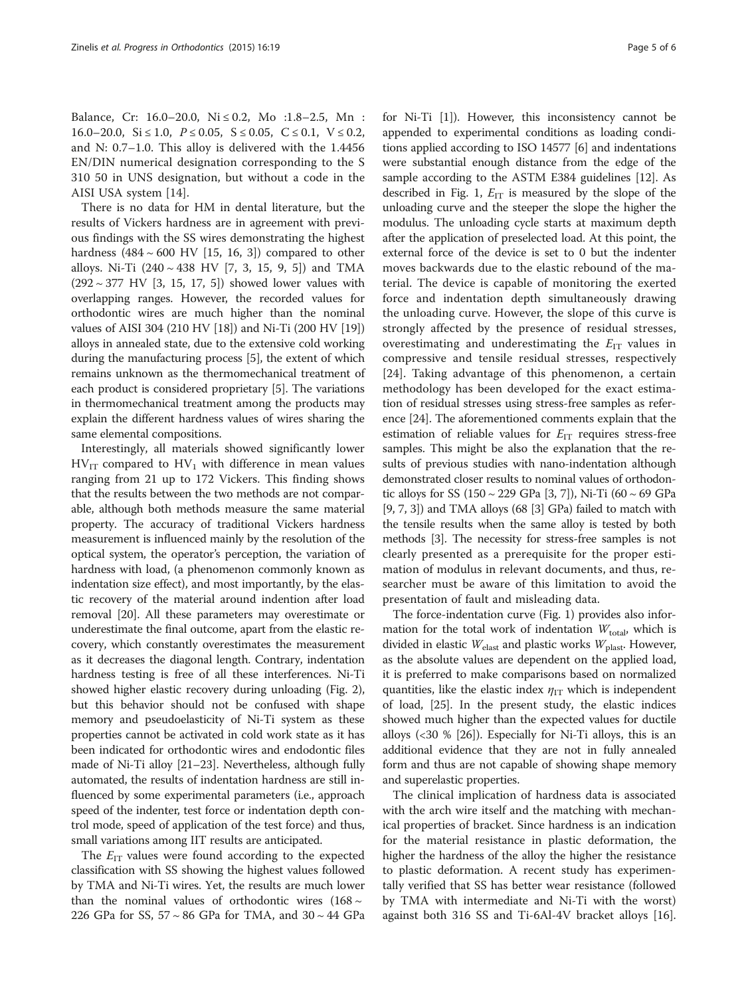Balance, Cr: 16.0–20.0, Ni ≤ 0.2, Mo :1.8–2.5, Mn : 16.0–20.0, Si  $\leq$  1.0, P  $\leq$  0.05, S  $\leq$  0.05, C  $\leq$  0.1, V  $\leq$  0.2, and N: 0.7–1.0. This alloy is delivered with the 1.4456 EN/DIN numerical designation corresponding to the S 310 50 in UNS designation, but without a code in the AISI USA system [\[14](#page-5-0)].

There is no data for HM in dental literature, but the results of Vickers hardness are in agreement with previous findings with the SS wires demonstrating the highest hardness  $(484 \sim 600 \text{ HV}$  [[15, 16, 3\]](#page-5-0)) compared to other alloys. Ni-Ti  $(240 \sim 438 \text{ HV}$  [[7, 3](#page-5-0), [15, 9](#page-5-0), [5\]](#page-5-0)) and TMA  $(292 \sim 377 \text{ HV}$  $(292 \sim 377 \text{ HV}$  $(292 \sim 377 \text{ HV}$  [3, [15](#page-5-0), [17](#page-5-0), [5\]](#page-5-0)) showed lower values with overlapping ranges. However, the recorded values for orthodontic wires are much higher than the nominal values of AISI 304 (210 HV [\[18\]](#page-5-0)) and Ni-Ti (200 HV [[19](#page-5-0)]) alloys in annealed state, due to the extensive cold working during the manufacturing process [\[5](#page-5-0)], the extent of which remains unknown as the thermomechanical treatment of each product is considered proprietary [\[5](#page-5-0)]. The variations in thermomechanical treatment among the products may explain the different hardness values of wires sharing the same elemental compositions.

Interestingly, all materials showed significantly lower  $HV_{IT}$  compared to  $HV_1$  with difference in mean values ranging from 21 up to 172 Vickers. This finding shows that the results between the two methods are not comparable, although both methods measure the same material property. The accuracy of traditional Vickers hardness measurement is influenced mainly by the resolution of the optical system, the operator's perception, the variation of hardness with load, (a phenomenon commonly known as indentation size effect), and most importantly, by the elastic recovery of the material around indention after load removal [\[20](#page-5-0)]. All these parameters may overestimate or underestimate the final outcome, apart from the elastic recovery, which constantly overestimates the measurement as it decreases the diagonal length. Contrary, indentation hardness testing is free of all these interferences. Ni-Ti showed higher elastic recovery during unloading (Fig. [2](#page-3-0)), but this behavior should not be confused with shape memory and pseudoelasticity of Ni-Ti system as these properties cannot be activated in cold work state as it has been indicated for orthodontic wires and endodontic files made of Ni-Ti alloy [\[21](#page-5-0)–[23](#page-5-0)]. Nevertheless, although fully automated, the results of indentation hardness are still influenced by some experimental parameters (i.e., approach speed of the indenter, test force or indentation depth control mode, speed of application of the test force) and thus, small variations among IIT results are anticipated.

The  $E_{IT}$  values were found according to the expected classification with SS showing the highest values followed by TMA and Ni-Ti wires. Yet, the results are much lower than the nominal values of orthodontic wires  $(168 \sim$ 226 GPa for SS, 57 ~ 86 GPa for TMA, and 30 ~ 44 GPa

for Ni-Ti [\[1](#page-5-0)]). However, this inconsistency cannot be appended to experimental conditions as loading conditions applied according to ISO 14577 [[6](#page-5-0)] and indentations were substantial enough distance from the edge of the sample according to the ASTM E384 guidelines [\[12\]](#page-5-0). As described in Fig. [1](#page-2-0),  $E_{IT}$  is measured by the slope of the unloading curve and the steeper the slope the higher the modulus. The unloading cycle starts at maximum depth after the application of preselected load. At this point, the external force of the device is set to 0 but the indenter moves backwards due to the elastic rebound of the material. The device is capable of monitoring the exerted force and indentation depth simultaneously drawing the unloading curve. However, the slope of this curve is strongly affected by the presence of residual stresses, overestimating and underestimating the  $E_{IT}$  values in compressive and tensile residual stresses, respectively [[24\]](#page-5-0). Taking advantage of this phenomenon, a certain methodology has been developed for the exact estimation of residual stresses using stress-free samples as reference [[24\]](#page-5-0). The aforementioned comments explain that the estimation of reliable values for  $E_{IT}$  requires stress-free samples. This might be also the explanation that the results of previous studies with nano-indentation although demonstrated closer results to nominal values of orthodontic alloys for SS (150  $\sim$  229 GPa [[3](#page-5-0), [7](#page-5-0)]), Ni-Ti (60  $\sim$  69 GPa [[9](#page-5-0), [7](#page-5-0), [3\]](#page-5-0)) and TMA alloys (68 [\[3\]](#page-5-0) GPa) failed to match with the tensile results when the same alloy is tested by both methods [\[3\]](#page-5-0). The necessity for stress-free samples is not clearly presented as a prerequisite for the proper estimation of modulus in relevant documents, and thus, researcher must be aware of this limitation to avoid the presentation of fault and misleading data.

The force-indentation curve (Fig. [1](#page-2-0)) provides also information for the total work of indentation  $W_{total}$ , which is divided in elastic  $W_{\text{elast}}$  and plastic works  $W_{\text{plast}}$ . However, as the absolute values are dependent on the applied load, it is preferred to make comparisons based on normalized quantities, like the elastic index  $\eta_{IT}$  which is independent of load, [[25](#page-5-0)]. In the present study, the elastic indices showed much higher than the expected values for ductile alloys (<30 % [\[26](#page-5-0)]). Especially for Ni-Ti alloys, this is an additional evidence that they are not in fully annealed form and thus are not capable of showing shape memory and superelastic properties.

The clinical implication of hardness data is associated with the arch wire itself and the matching with mechanical properties of bracket. Since hardness is an indication for the material resistance in plastic deformation, the higher the hardness of the alloy the higher the resistance to plastic deformation. A recent study has experimentally verified that SS has better wear resistance (followed by TMA with intermediate and Ni-Ti with the worst) against both 316 SS and Ti-6Al-4V bracket alloys [\[16](#page-5-0)].